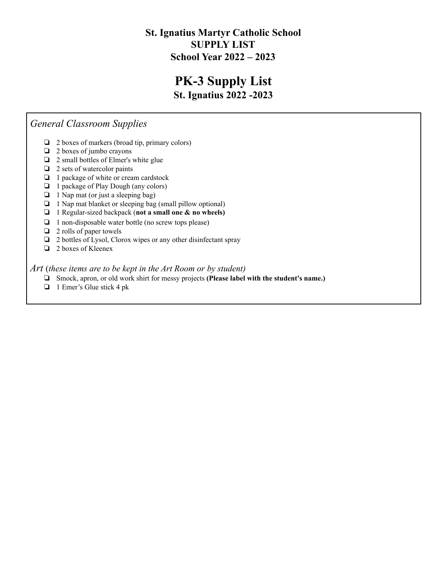### **St. Ignatius Martyr Catholic School SUPPLY LIST School Year 2022 – 2023**

### **PK-3 Supply List St. Ignatius 2022 -2023**

### *General Classroom Supplies*

- ❏ 2 boxes of markers (broad tip, primary colors)
- ❏ 2 boxes of jumbo crayons
- ❏ 2 small bottles of Elmer's white glue
- ❏ 2 sets of watercolor paints
- ❏ 1 package of white or cream cardstock
- ❏ 1 package of Play Dough (any colors)
- ❏ 1 Nap mat (or just a sleeping bag)
- ❏ 1 Nap mat blanket or sleeping bag (small pillow optional)
- ❏ 1 Regular-sized backpack (**not a small one & no wheels)**
- ❏ 1 non-disposable water bottle (no screw tops please)
- ❏ 2 rolls of paper towels
- ❏ 2 bottles of Lysol, Clorox wipes or any other disinfectant spray
- ❏ 2 boxes of Kleenex

*Art* (*these items are to be kept in the Art Room or by student)*

- ❏ Smock, apron, or old work shirt for messy projects **(Please label with the student's name.)**
- ❏ 1 Emer's Glue stick 4 pk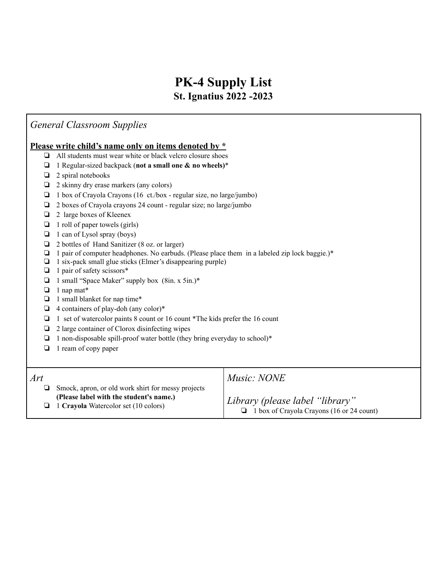### **PK-4 Supply List St. Ignatius 2022 -2023**

### *General Classroom Supplies*

#### **Please write child's name only on items denoted by \***

- ❏ All students must wear white or black velcro closure shoes
- ❏ 1 Regular-sized backpack (**not a small one & no wheels)**\*
- ❏ 2 spiral notebooks
- ❏ 2 skinny dry erase markers (any colors)
- ❏ 1 box of Crayola Crayons (16 ct./box regular size, no large/jumbo)
- ❏ 2 boxes of Crayola crayons 24 count regular size; no large/jumbo
- ❏ 2 large boxes of Kleenex
- ❏ 1 roll of paper towels (girls)
- ❏ 1 can of Lysol spray (boys)
- ❏ 2 bottles of Hand Sanitizer (8 oz. or larger)
- ❏ 1 pair of computer headphones. No earbuds. (Please place them in a labeled zip lock baggie.)\*
- ❏ 1 six-pack small glue sticks (Elmer's disappearing purple)
- ❏ 1 pair of safety scissors\*
- ❏ 1 small "Space Maker" supply box (8in. x 5in.)\*
- ❏ 1 nap mat\*
- ❏ 1 small blanket for nap time\*
- ❏ 4 containers of play-doh (any color)\*
- ❏ 1 set of watercolor paints 8 count or 16 count \*The kids prefer the 16 count
- ❏ 2 large container of Clorox disinfecting wipes
- ❏ 1 non-disposable spill-proof water bottle (they bring everyday to school)\*
- ❏ 1 ream of copy paper

| Art                                                | Music: NONE                               |
|----------------------------------------------------|-------------------------------------------|
| Smock, apron, or old work shirt for messy projects | Library (please label "library"           |
| (Please label with the student's name.)            | 1 box of Crayola Crayons (16 or 24 count) |
| $\Box$ 1 Crayola Watercolor set (10 colors)        | □                                         |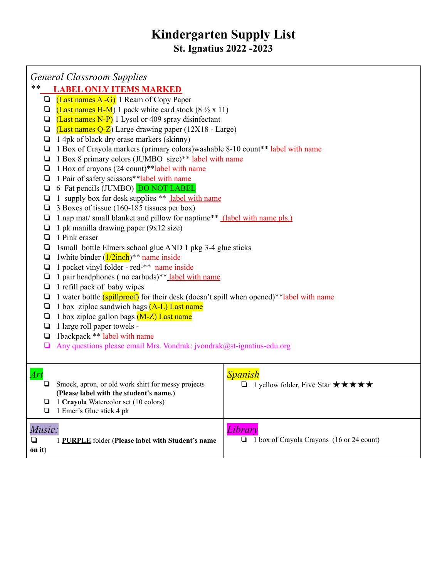## **Kindergarten Supply List St. Ignatius 2022 -2023**

| <b>General Classroom Supplies</b> |
|-----------------------------------|
|-----------------------------------|

### *\*\** **LABEL ONLY ITEMS MARKED**

- $\Box$  (Last names A -G) 1 Ream of Copy Paper
- $\Box$  (Last names H-M) 1 pack white card stock (8  $\frac{1}{2}$  x 11)
- $\Box$  (Last names N-P) 1 Lysol or 409 spray disinfectant
- $\Box$  (Last names Q-Z) Large drawing paper (12X18 Large)
- ❏ 1 4pk of black dry erase markers (skinny)
- ❏ 1 Box of Crayola markers (primary colors)washable 8-10 count\*\* label with name
- ❏ 1 Box 8 primary colors (JUMBO size)\*\* label with name
- ❏ 1 Box of crayons (24 count)\*\*label with name
- ❏ 1 Pair of safety scissors\*\*label with name
- ❏ 6 Fat pencils (JUMBO) DO NOT LABEL
- $\Box$  1 supply box for desk supplies \*\* label with name
- ❏ 3 Boxes of tissue (160-185 tissues per box)
- ❏ 1 nap mat/ small blanket and pillow for naptime\*\* (label with name pls.)
- $\Box$  1 pk manilla drawing paper (9x12 size)
- ❏ 1 Pink eraser
- ❏ 1small bottle Elmers school glue AND 1 pkg 3-4 glue sticks
- $\Box$  1 white binder  $(1/2inch)*$  name inside
- ❏ 1 pocket vinyl folder red-\*\* name inside
- ❏ 1 pair headphones ( no earbuds)\*\* label with name
- ❏ 1 refill pack of baby wipes
- ❏ 1 water bottle (spillproof) for their desk (doesn't spill when opened)\*\*label with name
- $\Box$  1 box ziploc sandwich bags  $(A-L)$  Last name
- $\Box$  1 box ziploc gallon bags  $(M-Z)$  Last name
- ❏ 1 large roll paper towels -
- ❏ 1backpack \*\* label with name
- $\Box$  Any questions please email Mrs. Vondrak: jvondrak@st-ignatius-edu.org

| Ari<br>Smock, apron, or old work shirt for messy projects<br>(Please label with the student's name.)<br>1 Crayola Watercolor set (10 colors)<br>$\Box$ 1 Emer's Glue stick 4 pk | <b>Spanish</b><br><b>□</b> 1 yellow folder, Five Star $\star \star \star \star \star \star$ |
|---------------------------------------------------------------------------------------------------------------------------------------------------------------------------------|---------------------------------------------------------------------------------------------|
| Music:<br>PURPLE folder (Please label with Student's name<br>on it)                                                                                                             | 1 box of Crayola Crayons (16 or 24 count)                                                   |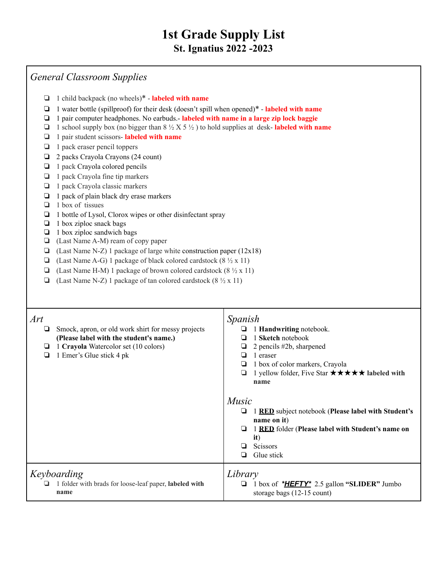### *General Classroom Supplies*

- ❏ 1 child backpack (no wheels)\* **labeled with name**
- ❏ 1 water bottle (spillproof) for their desk (doesn't spill when opened)\* **labeled with name**
- ❏ 1 pair computer headphones. No earbuds.- **labeled with name in a large zip lock baggie**
- ❏ 1 school supply box (no bigger than 8 ½ X 5 ½ ) to hold supplies at desk- **labeled with name**
- ❏ 1 pair student scissors- **labeled with name**
- ❏ 1 pack eraser pencil toppers
- ❏ 2 packs Crayola Crayons (24 count)
- ❏ 1 pack Crayola colored pencils
- ❏ 1 pack Crayola fine tip markers
- ❏ 1 pack Crayola classic markers
- ❏ 1 pack of plain black dry erase markers
- ❏ 1 box of tissues
- ❏ 1 bottle of Lysol, Clorox wipes or other disinfectant spray
- ❏ 1 box ziploc snack bags
- ❏ 1 box ziploc sandwich bags
- ❏ (Last Name A-M) ream of copy paper
- ❏ (Last Name N-Z) 1 package of large white construction paper (12x18)
- ❏ (Last Name A-G) 1 package of black colored cardstock (8 ½ x 11)
- ❏ (Last Name H-M) 1 package of brown colored cardstock (8 ½ x 11)
- ❏ (Last Name N-Z) 1 package of tan colored cardstock (8 ½ x 11)

| Art<br>Smock, apron, or old work shirt for messy projects<br>(Please label with the student's name.)<br>1 Crayola Watercolor set (10 colors)<br>⊔<br>1 Emer's Glue stick 4 pk | Spanish<br>1 Handwriting notebook.<br>1 <b>Sketch</b> notebook<br>2 pencils #2b, sharpened<br>1 eraser<br>1 box of color markers, Crayola<br>⊔<br>1 yellow folder, Five Star $\star \star \star \star \star$ labeled with<br>name |
|-------------------------------------------------------------------------------------------------------------------------------------------------------------------------------|-----------------------------------------------------------------------------------------------------------------------------------------------------------------------------------------------------------------------------------|
|                                                                                                                                                                               | <i>Music</i><br><b>RED</b> subject notebook (Please label with Student's<br>name on it)<br>1 RED folder (Please label with Student's name on<br>it)<br><b>Scissors</b><br>Glue stick<br>◻                                         |
| Keyboarding<br>1 folder with brads for loose-leaf paper, labeled with<br>name                                                                                                 | Library<br>1 box of * <b>HEFTY</b> * 2.5 gallon "SLIDER" Jumbo<br>storage bags $(12-15$ count)                                                                                                                                    |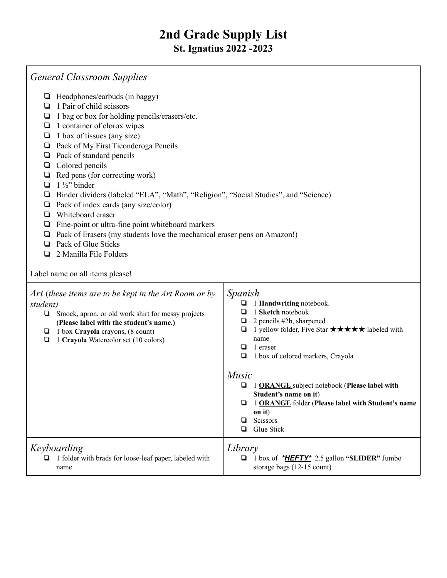| <b>General Classroom Supplies</b>                                                                                                                                                                                                                                                                                                                                                                                                                                                                                                                                                                                                                                                                                                                                                               |                                                                                                                                                                                                                                                                                                                                                                                                                   |  |
|-------------------------------------------------------------------------------------------------------------------------------------------------------------------------------------------------------------------------------------------------------------------------------------------------------------------------------------------------------------------------------------------------------------------------------------------------------------------------------------------------------------------------------------------------------------------------------------------------------------------------------------------------------------------------------------------------------------------------------------------------------------------------------------------------|-------------------------------------------------------------------------------------------------------------------------------------------------------------------------------------------------------------------------------------------------------------------------------------------------------------------------------------------------------------------------------------------------------------------|--|
| $\Box$ Headphones/earbuds (in baggy)<br>1 Pair of child scissors<br>⊔<br>1 bag or box for holding pencils/erasers/etc.<br>❏<br>1 container of clorox wipes<br>❏<br>1 box of tissues (any size)<br>$\Box$<br>Pack of My First Ticonderoga Pencils<br>❏<br>Pack of standard pencils<br>❏<br>Colored pencils<br>❏<br>Red pens (for correcting work)<br>❏<br>$1\frac{1}{2}$ binder<br>❏<br>Binder dividers (labeled "ELA", "Math", "Religion", "Social Studies", and "Science)<br>❏<br>Pack of index cards (any size/color)<br>❏<br>Whiteboard eraser<br>❏<br>Fine-point or ultra-fine point whiteboard markers<br>❏<br>Pack of Erasers (my students love the mechanical eraser pens on Amazon!)<br>❏<br>Pack of Glue Sticks<br>▫<br>2 Manilla File Folders<br>◘<br>Label name on all items please! |                                                                                                                                                                                                                                                                                                                                                                                                                   |  |
| Art (these items are to be kept in the Art Room or by<br>student)<br>$\Box$ Smock, apron, or old work shirt for messy projects<br>(Please label with the student's name.)<br>$\Box$ 1 box Crayola crayons, (8 count)<br>1 Crayola Watercolor set (10 colors)<br>$\Box$                                                                                                                                                                                                                                                                                                                                                                                                                                                                                                                          | Spanish<br>1 Handwriting notebook.<br>1 Sketch notebook<br>2 pencils #2b, sharpened<br>1 yellow folder, Five Star $\star \star \star \star \star$ labeled with<br>⊔<br>name<br>1 eraser<br>1 box of colored markers, Crayola<br>Music<br>1 ORANGE subject notebook (Please label with<br>Student's name on it)<br>1 ORANGE folder (Please label with Student's name<br>on it)<br>Scissors<br>❏<br>Glue Stick<br>❏ |  |
| Keyboarding<br>1 folder with brads for loose-leaf paper, labeled with<br>▫<br>name                                                                                                                                                                                                                                                                                                                                                                                                                                                                                                                                                                                                                                                                                                              | Library<br>1 box of *HEFTY* 2.5 gallon "SLIDER" Jumbo<br>❏<br>storage bags (12-15 count)                                                                                                                                                                                                                                                                                                                          |  |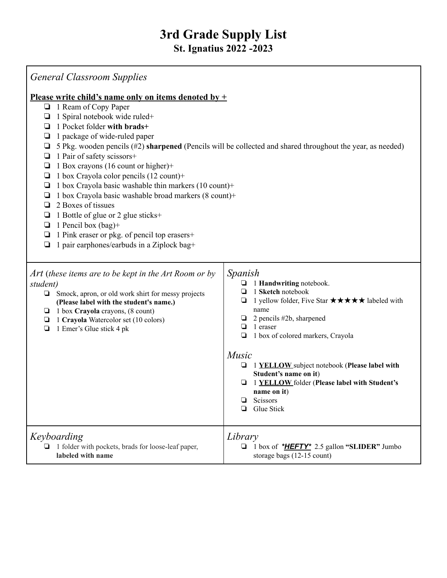| <b>General Classroom Supplies</b>                                                                                                                                                                                                                                                                                                                                                                                                                                                                                                                                                                                                                                                                                                                                                                                |                                                                                                                                                                                                                                                                                                                                                                                                                                  |  |
|------------------------------------------------------------------------------------------------------------------------------------------------------------------------------------------------------------------------------------------------------------------------------------------------------------------------------------------------------------------------------------------------------------------------------------------------------------------------------------------------------------------------------------------------------------------------------------------------------------------------------------------------------------------------------------------------------------------------------------------------------------------------------------------------------------------|----------------------------------------------------------------------------------------------------------------------------------------------------------------------------------------------------------------------------------------------------------------------------------------------------------------------------------------------------------------------------------------------------------------------------------|--|
| <u>Please write child's name only on items denoted by <math>+</math></u><br>1 Ream of Copy Paper<br>❏<br>1 Spiral notebook wide ruled+<br>⊔<br>1 Pocket folder with brads+<br>❏<br>1 package of wide-ruled paper<br>Q<br>5 Pkg. wooden pencils (#2) sharpened (Pencils will be collected and shared throughout the year, as needed)<br>❏<br>1 Pair of safety scissors+<br>❏<br>1 Box crayons (16 count or higher)+<br>❏<br>1 box Crayola color pencils (12 count)+<br>⊔<br>1 box Crayola basic washable thin markers (10 count)+<br>❏<br>1 box Crayola basic washable broad markers (8 count)+<br>❏<br>2 Boxes of tissues<br>❏<br>1 Bottle of glue or 2 glue sticks+<br>⊔<br>1 Pencil box $(bag)$ +<br>❏<br>1 Pink eraser or pkg. of pencil top erasers+<br>❏<br>1 pair earphones/earbuds in a Ziplock bag+<br>❏ |                                                                                                                                                                                                                                                                                                                                                                                                                                  |  |
| Art (these items are to be kept in the Art Room or by<br>student)<br>Smock, apron, or old work shirt for messy projects<br>❏<br>(Please label with the student's name.)<br>$\Box$ 1 box Crayola crayons, (8 count)<br>1 Crayola Watercolor set (10 colors)<br>⊔<br>1 Emer's Glue stick 4 pk<br>❏                                                                                                                                                                                                                                                                                                                                                                                                                                                                                                                 | Spanish<br>1 Handwriting notebook.<br>1 Sketch notebook<br>□<br>1 yellow folder, Five Star $\star \star \star \star \star$ labeled with<br>❏<br>name<br>2 pencils #2b, sharpened<br>1 eraser<br>❏<br>1 box of colored markers, Crayola<br>❏<br>Music<br>1 YELLOW subject notebook (Please label with<br>⊔<br>Student's name on it)<br>1 YELLOW folder (Please label with Student's<br>name on it)<br>Scissors<br>Glue Stick<br>❏ |  |
| Keyboarding<br>1 folder with pockets, brads for loose-leaf paper,<br>□<br>labeled with name                                                                                                                                                                                                                                                                                                                                                                                                                                                                                                                                                                                                                                                                                                                      | Library<br>1 box of * <b>HEFTY</b> * 2.5 gallon "SLIDER" Jumbo<br>❏<br>storage bags (12-15 count)                                                                                                                                                                                                                                                                                                                                |  |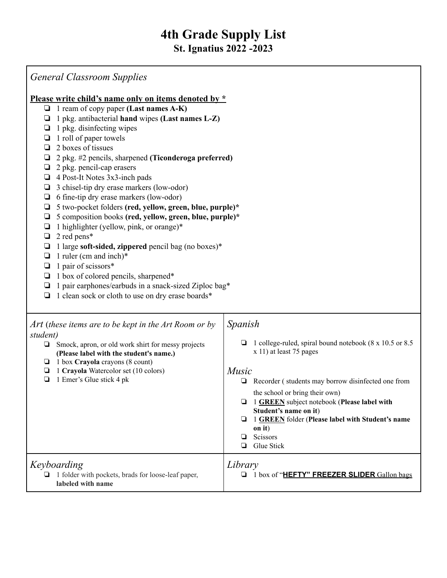| <b>General Classroom Supplies</b>                                                                                                                                                                                                                                                                                                                                                                                                                                                                                                                                                                                                                                                                                                                                                                                                                                                                                                                                                                         |                                                                                                                                                                                                                                                                                                                                                                                     |  |
|-----------------------------------------------------------------------------------------------------------------------------------------------------------------------------------------------------------------------------------------------------------------------------------------------------------------------------------------------------------------------------------------------------------------------------------------------------------------------------------------------------------------------------------------------------------------------------------------------------------------------------------------------------------------------------------------------------------------------------------------------------------------------------------------------------------------------------------------------------------------------------------------------------------------------------------------------------------------------------------------------------------|-------------------------------------------------------------------------------------------------------------------------------------------------------------------------------------------------------------------------------------------------------------------------------------------------------------------------------------------------------------------------------------|--|
| Please write child's name only on items denoted by *<br>$\Box$ 1 ream of copy paper (Last names A-K)<br>$\Box$ 1 pkg. antibacterial hand wipes (Last names L-Z)<br>1 pkg. disinfecting wipes<br>⊔<br>1 roll of paper towels<br>❏<br>2 boxes of tissues<br>u.<br>2 pkg. #2 pencils, sharpened (Ticonderoga preferred)<br>❏<br>2 pkg. pencil-cap erasers<br>$\Box$ 4 Post-It Notes 3x3-inch pads<br>3 chisel-tip dry erase markers (low-odor)<br>❏<br>$\Box$ 6 fine-tip dry erase markers (low-odor)<br>5 two-pocket folders (red, yellow, green, blue, purple)*<br>❏<br>5 composition books (red, yellow, green, blue, purple)*<br>❏<br>1 highlighter (yellow, pink, or orange)*<br>❏<br>2 red pens*<br>❏<br>1 large soft-sided, zippered pencil bag (no boxes)*<br>⊔<br>1 ruler (cm and inch) $*$<br>❏<br>1 pair of scissors*<br>$\Box$<br>$\Box$ 1 box of colored pencils, sharpened*<br>1 pair earphones/earbuds in a snack-sized Ziploc bag*<br>⊔<br>1 clean sock or cloth to use on dry erase boards* |                                                                                                                                                                                                                                                                                                                                                                                     |  |
| Art (these items are to be kept in the Art Room or by<br>student)<br>$\Box$ Smock, apron, or old work shirt for messy projects<br>(Please label with the student's name.)<br>$\Box$ 1 box Crayola crayons (8 count)<br>1 Crayola Watercolor set (10 colors)<br>❏<br>1 Emer's Glue stick 4 pk<br>$\Box$                                                                                                                                                                                                                                                                                                                                                                                                                                                                                                                                                                                                                                                                                                    | Spanish<br>1 college-ruled, spiral bound notebook (8 x 10.5 or 8.5)<br>⊔<br>x 11) at least 75 pages<br>Music<br>Recorder (students may borrow disinfected one from<br>the school or bring their own)<br>1 GREEN subject notebook (Please label with<br>Student's name on it)<br>1 GREEN folder (Please label with Student's name<br>❏<br>on it)<br>Scissors<br>❏<br>Glue Stick<br>▫ |  |
| Keyboarding<br>$\Box$ 1 folder with pockets, brads for loose-leaf paper,                                                                                                                                                                                                                                                                                                                                                                                                                                                                                                                                                                                                                                                                                                                                                                                                                                                                                                                                  | Library<br>1 box of "HEFTY" FREEZER SLIDER Gallon bags                                                                                                                                                                                                                                                                                                                              |  |

**labeled with name**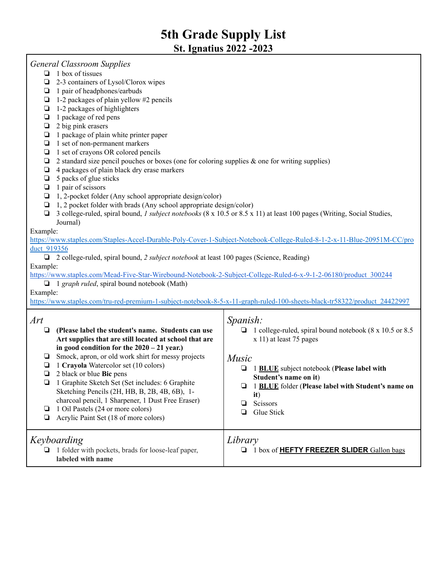| <b>General Classroom Supplies</b><br>1 box of tissues<br>▫<br>2-3 containers of Lysol/Clorox wipes<br>❏<br>1 pair of headphones/earbuds<br>❏<br>1-2 packages of plain yellow #2 pencils<br>❏<br>1-2 packages of highlighters<br>❏<br>1 package of red pens<br>❏<br>2 big pink erasers<br>❏<br>1 package of plain white printer paper<br>❏<br>1 set of non-permanent markers<br>❏<br>1 set of crayons OR colored pencils<br>О<br>2 standard size pencil pouches or boxes (one for coloring supplies $\&$ one for writing supplies)<br>❏<br>4 packages of plain black dry erase markers<br>❏<br>5 packs of glue sticks<br>❏<br>1 pair of scissors<br>❏<br>1, 2-pocket folder (Any school appropriate design/color)<br>❏<br>1, 2 pocket folder with brads (Any school appropriate design/color)<br>❏<br>3 college-ruled, spiral bound, <i>l subject notebooks</i> (8 x 10.5 or 8.5 x 11) at least 100 pages (Writing, Social Studies,<br>❏<br>Journal)<br>Example:<br>https://www.staples.com/Staples-Accel-Durable-Poly-Cover-1-Subject-Notebook-College-Ruled-8-1-2-x-11-Blue-20951M-CC/pro<br>duct 919356<br>2 college-ruled, spiral bound, 2 subject notebook at least 100 pages (Science, Reading)<br>Example:<br>https://www.staples.com/Mead-Five-Star-Wirebound-Notebook-2-Subject-College-Ruled-6-x-9-1-2-06180/product 300244<br>$\Box$ 1 graph ruled, spiral bound notebook (Math)<br>Example: |                                                                                                                                                                                                                                                                                                                                                                                                                                                                                                                               |                                                                                                                                                                                                                                                                                       |
|--------------------------------------------------------------------------------------------------------------------------------------------------------------------------------------------------------------------------------------------------------------------------------------------------------------------------------------------------------------------------------------------------------------------------------------------------------------------------------------------------------------------------------------------------------------------------------------------------------------------------------------------------------------------------------------------------------------------------------------------------------------------------------------------------------------------------------------------------------------------------------------------------------------------------------------------------------------------------------------------------------------------------------------------------------------------------------------------------------------------------------------------------------------------------------------------------------------------------------------------------------------------------------------------------------------------------------------------------------------------------------------------------------|-------------------------------------------------------------------------------------------------------------------------------------------------------------------------------------------------------------------------------------------------------------------------------------------------------------------------------------------------------------------------------------------------------------------------------------------------------------------------------------------------------------------------------|---------------------------------------------------------------------------------------------------------------------------------------------------------------------------------------------------------------------------------------------------------------------------------------|
| Art<br>❏<br>❏<br>⊔<br>❏<br>❏<br>❏                                                                                                                                                                                                                                                                                                                                                                                                                                                                                                                                                                                                                                                                                                                                                                                                                                                                                                                                                                                                                                                                                                                                                                                                                                                                                                                                                                      | (Please label the student's name. Students can use<br>Art supplies that are still located at school that are<br>in good condition for the $2020 - 21$ year.)<br>Smock, apron, or old work shirt for messy projects<br>1 Crayola Watercolor set (10 colors)<br>2 black or blue Bic pens<br>1 Graphite Sketch Set (Set includes: 6 Graphite<br>Sketching Pencils (2H, HB, B, 2B, 4B, 6B), 1-<br>charcoal pencil, 1 Sharpener, 1 Dust Free Eraser)<br>1 Oil Pastels (24 or more colors)<br>Acrylic Paint Set (18 of more colors) | Spanish:<br>1 college-ruled, spiral bound notebook (8 x 10.5 or 8.5)<br>x 11) at least 75 pages<br>Music<br>1 BLUE subject notebook (Please label with<br>❏<br>Student's name on it)<br>1 BLUE folder (Please label with Student's name on<br>it)<br>Scissors<br>❏<br>Glue Stick<br>❏ |
|                                                                                                                                                                                                                                                                                                                                                                                                                                                                                                                                                                                                                                                                                                                                                                                                                                                                                                                                                                                                                                                                                                                                                                                                                                                                                                                                                                                                        | Keyboarding<br>$\Box$ 1 folder with pockets, brads for loose-leaf paper,<br>labeled with name                                                                                                                                                                                                                                                                                                                                                                                                                                 | Library<br>1 box of <b>HEFTY FREEZER SLIDER</b> Gallon bags<br>❏                                                                                                                                                                                                                      |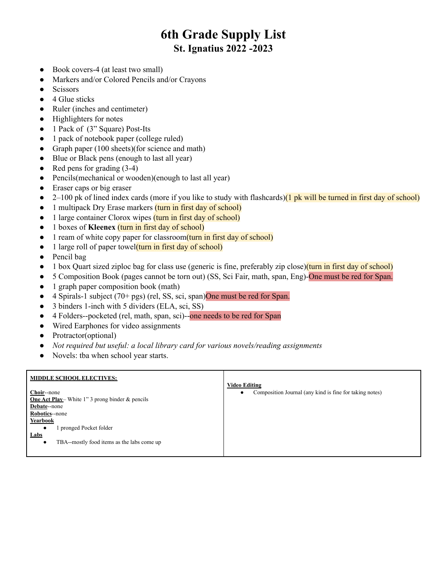- Book covers-4 (at least two small)
- Markers and/or Colored Pencils and/or Crayons
- Scissors
- $\bullet$  4 Glue sticks
- Ruler (inches and centimeter)
- Highlighters for notes
- 1 Pack of (3" Square) Post-Its
- 1 pack of notebook paper (college ruled)
- Graph paper (100 sheets)(for science and math)
- Blue or Black pens (enough to last all year)
- Red pens for grading  $(3-4)$
- Pencils(mechanical or wooden)(enough to last all year)
- Eraser caps or big eraser
- $\bullet$  2–100 pk of lined index cards (more if you like to study with flashcards)(1 pk will be turned in first day of school)
- 1 multipack Dry Erase markers (turn in first day of school)
- 1 large container Clorox wipes (turn in first day of school)
- 1 boxes of **Kleenex** (turn in first day of school)
- 1 ream of white copy paper for classroom(turn in first day of school)
- 1 large roll of paper towel(turn in first day of school)
- Pencil bag
- 1 box Quart sized ziploc bag for class use (generic is fine, preferably zip close)(turn in first day of school)
- 5 Composition Book (pages cannot be torn out) (SS, Sci Fair, math, span, Eng)-One must be red for Span.
- 1 graph paper composition book (math)
- 4 Spirals-1 subject  $(70 + pgs)$  (rel, SS, sci, span)One must be red for Span.
- 3 binders 1-inch with 5 dividers (ELA, sci, SS)
- 4 Folders--pocketed (rel, math, span, sci)--one needs to be red for Span
- Wired Earphones for video assignments
- Protractor(optional)
- *● Not required but useful: a local library card for various novels/reading assignments*
- Novels: tba when school year starts.

| <b>MIDDLE SCHOOL ELECTIVES:</b>                                                                                                                                   |                                                                                      |
|-------------------------------------------------------------------------------------------------------------------------------------------------------------------|--------------------------------------------------------------------------------------|
| Choir--none<br><b>One Act Play</b> White 1" 3 prong binder $\&$ pencils<br><b>Debate--none</b><br>Robotics-none<br>Yearbook<br>pronged Pocket folder<br>$\bullet$ | <b>Video Editing</b><br>Composition Journal (any kind is fine for taking notes)<br>٠ |
| Labs<br>TBA--mostly food items as the labs come up<br>$\bullet$                                                                                                   |                                                                                      |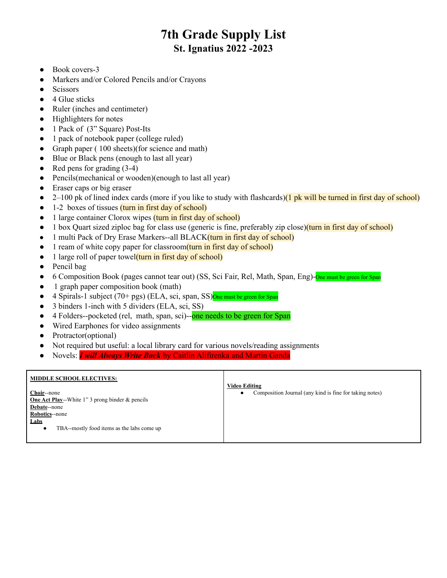- Book covers-3
- Markers and/or Colored Pencils and/or Crayons
- Scissors
- $\bullet$  4 Glue sticks
- Ruler (inches and centimeter)
- Highlighters for notes
- 1 Pack of (3" Square) Post-Its
- 1 pack of notebook paper (college ruled)
- Graph paper (100 sheets)(for science and math)
- Blue or Black pens (enough to last all year)
- Red pens for grading  $(3-4)$
- Pencils(mechanical or wooden)(enough to last all year)
- Eraser caps or big eraser
- $\bullet$  2–100 pk of lined index cards (more if you like to study with flashcards)(1 pk will be turned in first day of school)
- 1-2 boxes of tissues (turn in first day of school)
- 1 large container Clorox wipes (turn in first day of school)
- 1 box Quart sized ziploc bag for class use (generic is fine, preferably zip close)(turn in first day of school)
- 1 multi Pack of Dry Erase Markers--all BLACK(turn in first day of school)
- 1 ream of white copy paper for classroom(turn in first day of school)
- 1 large roll of paper towel(turn in first day of school)
- Pencil bag
- 6 Composition Book (pages cannot tear out) (SS, Sci Fair, Rel, Math, Span, Eng)-One must be green for Span
- 1 graph paper composition book (math)
- 4 Spirals-1 subject (70+ pgs) (ELA, sci, span, SS) $\overline{One}$  must be green for Span
- 3 binders 1-inch with 5 dividers (ELA, sci, SS)
- 4 Folders--pocketed (rel, math, span, sci)--one needs to be green for Span
- Wired Earphones for video assignments
- Protractor(optional)
- Not required but useful: a local library card for various novels/reading assignments
- Novels: *I will Always Write Back* by Caitlin Alifirenka and Martin Ganda

| <b>MIDDLE SCHOOL ELECTIVES:</b>                            | <b>Video Editing</b>                                    |
|------------------------------------------------------------|---------------------------------------------------------|
| Choir--none                                                | Composition Journal (any kind is fine for taking notes) |
| <b>One Act Play</b> --White 1" 3 prong binder $\&$ pencils |                                                         |
| Debate--none                                               |                                                         |
| Robotics--none                                             |                                                         |
| Labs                                                       |                                                         |
| TBA--mostly food items as the labs come up<br>$\bullet$    |                                                         |
|                                                            |                                                         |